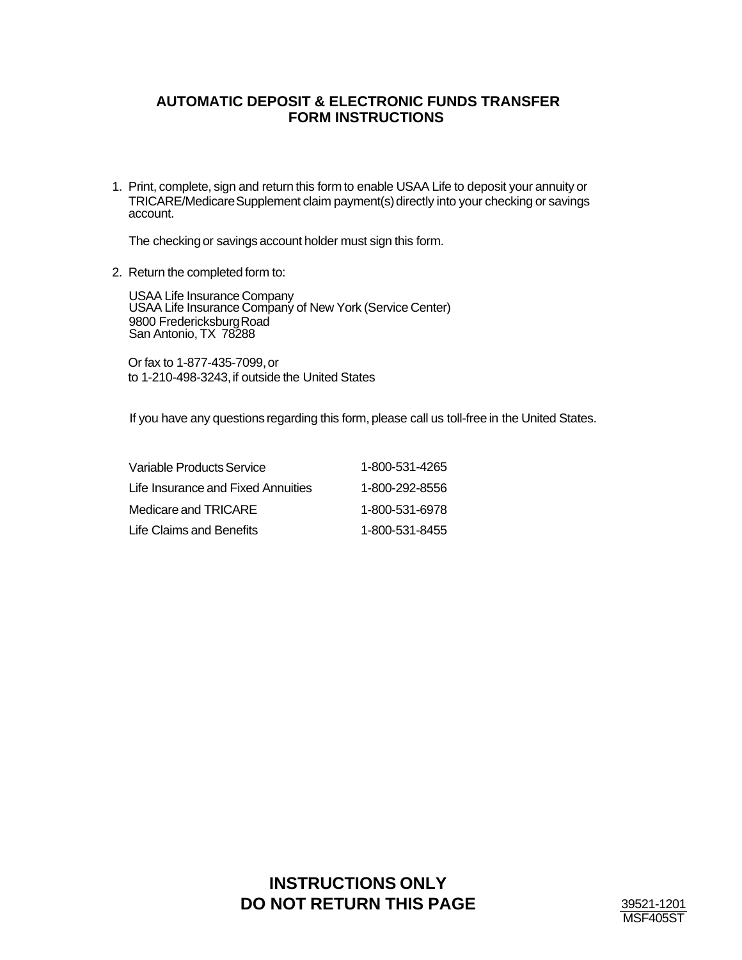## **AUTOMATIC DEPOSIT & ELECTRONIC FUNDS TRANSFER FORM INSTRUCTIONS**

1. Print, complete, sign and return this form to enable USAA Life to deposit your annuity or TRICARE/Medicare Supplement claim payment(s) directly into your checking or savings account.

The checking or savings account holder must sign this form.

2. Return the completed form to:

USAA Life Insurance Company USAA Life Insurance Company of New York (Service Center) 9800 Fredericksburg Road San Antonio, TX 78288

 Or fax to 1-877-435-7099, or to 1-210-498-3243, if outside the United States

If you have any questions regarding this form, please call us toll-free in the United States.

| Variable Products Service          | 1-800-531-4265 |
|------------------------------------|----------------|
| Life Insurance and Fixed Annuities | 1-800-292-8556 |
| Medicare and TRICARE               | 1-800-531-6978 |
| Life Claims and Benefits           | 1-800-531-8455 |